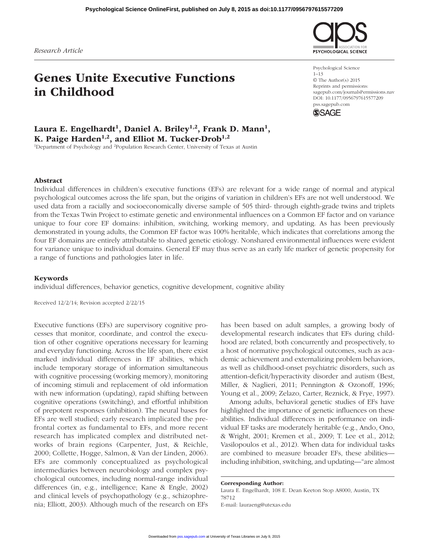*Research Article*

# Genes Unite Executive Functions in Childhood



Psychological Science 1–13 © The Author(s) 2015 Reprints and permissions: sagepub.com/journalsPermissions.nav DOI: 10.1177/0956797615577209 pss.sagepub.com



## Laura E. Engelhardt<sup>1</sup>, Daniel A. Briley<sup>1,2</sup>, Frank D. Mann<sup>1</sup>, K. Paige Harden<sup>1,2</sup>, and Elliot M. Tucker-Drob<sup>1,2</sup>

<sup>1</sup>Department of Psychology and <sup>2</sup>Population Research Center, University of Texas at Austin

#### Abstract

Individual differences in children's executive functions (EFs) are relevant for a wide range of normal and atypical psychological outcomes across the life span, but the origins of variation in children's EFs are not well understood. We used data from a racially and socioeconomically diverse sample of 505 third- through eighth-grade twins and triplets from the Texas Twin Project to estimate genetic and environmental influences on a Common EF factor and on variance unique to four core EF domains: inhibition, switching, working memory, and updating. As has been previously demonstrated in young adults, the Common EF factor was 100% heritable, which indicates that correlations among the four EF domains are entirely attributable to shared genetic etiology. Nonshared environmental influences were evident for variance unique to individual domains. General EF may thus serve as an early life marker of genetic propensity for a range of functions and pathologies later in life.

## Keywords

individual differences, behavior genetics, cognitive development, cognitive ability

Received 12/2/14; Revision accepted 2/22/15

Executive functions (EFs) are supervisory cognitive processes that monitor, coordinate, and control the execution of other cognitive operations necessary for learning and everyday functioning. Across the life span, there exist marked individual differences in EF abilities, which include temporary storage of information simultaneous with cognitive processing (working memory), monitoring of incoming stimuli and replacement of old information with new information (updating), rapid shifting between cognitive operations (switching), and effortful inhibition of prepotent responses (inhibition). The neural bases for EFs are well studied; early research implicated the prefrontal cortex as fundamental to EFs, and more recent research has implicated complex and distributed networks of brain regions (Carpenter, Just, & Reichle, 2000; Collette, Hogge, Salmon, & Van der Linden, 2006). EFs are commonly conceptualized as psychological intermediaries between neurobiology and complex psychological outcomes, including normal-range individual differences (in, e.g., intelligence; Kane & Engle, 2002) and clinical levels of psychopathology (e.g., schizophrenia; Elliott, 2003). Although much of the research on EFs

has been based on adult samples, a growing body of developmental research indicates that EFs during childhood are related, both concurrently and prospectively, to a host of normative psychological outcomes, such as academic achievement and externalizing problem behaviors, as well as childhood-onset psychiatric disorders, such as attention-deficit/hyperactivity disorder and autism (Best, Miller, & Naglieri, 2011; Pennington & Ozonoff, 1996; Young et al., 2009; Zelazo, Carter, Reznick, & Frye, 1997).

Among adults, behavioral genetic studies of EFs have highlighted the importance of genetic influences on these abilities. Individual differences in performance on individual EF tasks are moderately heritable (e.g., Ando, Ono, & Wright, 2001; Kremen et al., 2009; T. Lee et al., 2012; Vasilopoulos et al., 2012). When data for individual tasks are combined to measure broader EFs, these abilities including inhibition, switching, and updating—"are almost

Corresponding Author:

Laura E. Engelhardt, 108 E. Dean Keeton Stop A8000, Austin, TX 78712 E-mail: [lauraeng@utexas.edu](mailto:lauraeng@utexas.edu)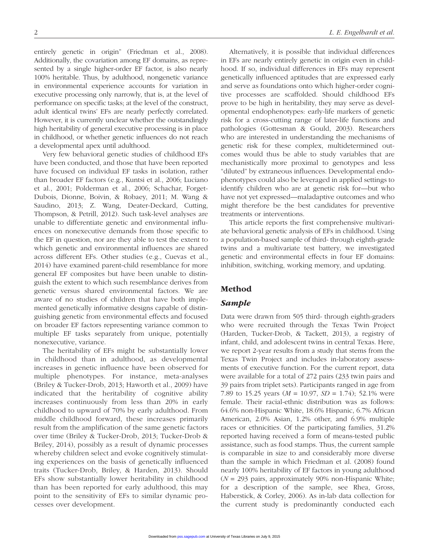entirely genetic in origin" (Friedman et al., 2008). Additionally, the covariation among EF domains, as represented by a single higher-order EF factor, is also nearly 100% heritable. Thus, by adulthood, nongenetic variance in environmental experience accounts for variation in executive processing only narrowly, that is, at the level of performance on specific tasks; at the level of the construct, adult identical twins' EFs are nearly perfectly correlated. However, it is currently unclear whether the outstandingly high heritability of general executive processing is in place in childhood, or whether genetic influences do not reach a developmental apex until adulthood.

Very few behavioral genetic studies of childhood EFs have been conducted, and those that have been reported have focused on individual EF tasks in isolation, rather than broader EF factors (e.g., Kuntsi et al., 2006; Luciano et al., 2001; Polderman et al., 2006; Schachar, Forget-Dubois, Dionne, Boivin, & Robaey, 2011; M. Wang & Saudino, 2013; Z. Wang, Deater-Deckard, Cutting, Thompson, & Petrill, 2012). Such task-level analyses are unable to differentiate genetic and environmental influences on nonexecutive demands from those specific to the EF in question, nor are they able to test the extent to which genetic and environmental influences are shared across different EFs. Other studies (e.g., Cuevas et al., 2014) have examined parent-child resemblance for more general EF composites but have been unable to distinguish the extent to which such resemblance derives from genetic versus shared environmental factors. We are aware of no studies of children that have both implemented genetically informative designs capable of distinguishing genetic from environmental effects and focused on broader EF factors representing variance common to multiple EF tasks separately from unique, potentially nonexecutive, variance.

The heritability of EFs might be substantially lower in childhood than in adulthood, as developmental increases in genetic influence have been observed for multiple phenotypes. For instance, meta-analyses (Briley & Tucker-Drob, 2013; Haworth et al., 2009) have indicated that the heritability of cognitive ability increases continuously from less than 20% in early childhood to upward of 70% by early adulthood. From middle childhood forward, these increases primarily result from the amplification of the same genetic factors over time (Briley & Tucker-Drob, 2013; Tucker-Drob & Briley, 2014), possibly as a result of dynamic processes whereby children select and evoke cognitively stimulating experiences on the basis of genetically influenced traits (Tucker-Drob, Briley, & Harden, 2013). Should EFs show substantially lower heritability in childhood than has been reported for early adulthood, this may point to the sensitivity of EFs to similar dynamic processes over development.

Alternatively, it is possible that individual differences in EFs are nearly entirely genetic in origin even in childhood. If so, individual differences in EFs may represent genetically influenced aptitudes that are expressed early and serve as foundations onto which higher-order cognitive processes are scaffolded. Should childhood EFs prove to be high in heritability, they may serve as developmental endophenotypes: early-life markers of genetic risk for a cross-cutting range of later-life functions and pathologies (Gottesman & Gould, 2003). Researchers who are interested in understanding the mechanisms of genetic risk for these complex, multidetermined outcomes would thus be able to study variables that are mechanistically more proximal to genotypes and less "diluted" by extraneous influences. Developmental endophenotypes could also be leveraged in applied settings to identify children who are at genetic risk for—but who have not yet expressed—maladaptive outcomes and who might therefore be the best candidates for preventive treatments or interventions.

This article reports the first comprehensive multivariate behavioral genetic analysis of EFs in childhood. Using a population-based sample of third- through eighth-grade twins and a multivariate test battery, we investigated genetic and environmental effects in four EF domains: inhibition, switching, working memory, and updating.

## Method

## *Sample*

Data were drawn from 505 third- through eighth-graders who were recruited through the Texas Twin Project (Harden, Tucker-Drob, & Tackett, 2013), a registry of infant, child, and adolescent twins in central Texas. Here, we report 2-year results from a study that stems from the Texas Twin Project and includes in-laboratory assessments of executive function. For the current report, data were available for a total of 272 pairs (233 twin pairs and 39 pairs from triplet sets). Participants ranged in age from 7.89 to 15.25 years (*M* = 10.97, *SD* = 1.74); 52.1% were female. Their racial-ethnic distribution was as follows: 64.6% non-Hispanic White, 18.6% Hispanic, 6.7% African American, 2.0% Asian, 1.2% other, and 6.9% multiple races or ethnicities. Of the participating families, 31.2% reported having received a form of means-tested public assistance, such as food stamps. Thus, the current sample is comparable in size to and considerably more diverse than the sample in which Friedman et al. (2008) found nearly 100% heritability of EF factors in young adulthood (*N* = 293 pairs, approximately 90% non-Hispanic White; for a description of the sample, see Rhea, Gross, Haberstick, & Corley, 2006). As in-lab data collection for the current study is predominantly conducted each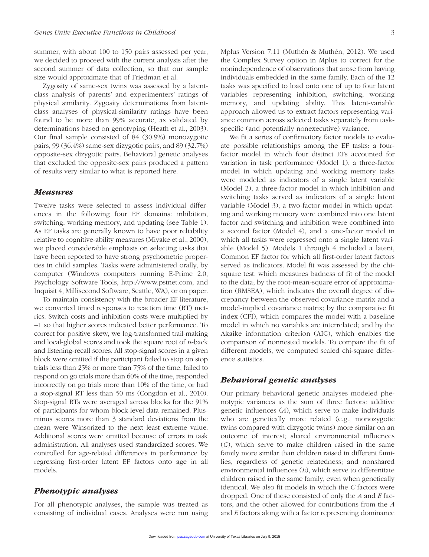summer, with about 100 to 150 pairs assessed per year, we decided to proceed with the current analysis after the second summer of data collection, so that our sample size would approximate that of Friedman et al.

Zygosity of same-sex twins was assessed by a latentclass analysis of parents' and experimenters' ratings of physical similarity. Zygosity determinations from latentclass analyses of physical-similarity ratings have been found to be more than 99% accurate, as validated by determinations based on genotyping (Heath et al., 2003). Our final sample consisted of 84 (30.9%) monozygotic pairs, 99 (36.4%) same-sex dizygotic pairs, and 89 (32.7%) opposite-sex dizygotic pairs. Behavioral genetic analyses that excluded the opposite-sex pairs produced a pattern of results very similar to what is reported here.

## *Measures*

Twelve tasks were selected to assess individual differences in the following four EF domains: inhibition, switching, working memory, and updating (see Table 1). As EF tasks are generally known to have poor reliability relative to cognitive-ability measures (Miyake et al., 2000), we placed considerable emphasis on selecting tasks that have been reported to have strong psychometric properties in child samples. Tasks were administered orally, by computer (Windows computers running E-Prime 2.0, Psychology Software Tools, <http://www.pstnet.com>, and Inquisit 4, Millisecond Software, Seattle, WA), or on paper.

To maintain consistency with the broader EF literature, we converted timed responses to reaction time (RT) metrics. Switch costs and inhibition costs were multiplied by −1 so that higher scores indicated better performance. To correct for positive skew, we log-transformed trail-making and local-global scores and took the square root of *n*-back and listening-recall scores. All stop-signal scores in a given block were omitted if the participant failed to stop on stop trials less than 25% or more than 75% of the time, failed to respond on go trials more than 60% of the time, responded incorrectly on go trials more than 10% of the time, or had a stop-signal RT less than 50 ms (Congdon et al., 2010). Stop-signal RTs were averaged across blocks for the 91% of participants for whom block-level data remained. Plusminus scores more than 3 standard deviations from the mean were Winsorized to the next least extreme value. Additional scores were omitted because of errors in task administration. All analyses used standardized scores. We controlled for age-related differences in performance by regressing first-order latent EF factors onto age in all models.

## *Phenotypic analyses*

For all phenotypic analyses, the sample was treated as consisting of individual cases. Analyses were run using Mplus Version 7.11 (Muthén & Muthén, 2012). We used the Complex Survey option in Mplus to correct for the nonindependence of observations that arose from having individuals embedded in the same family. Each of the 12 tasks was specified to load onto one of up to four latent variables representing inhibition, switching, working memory, and updating ability. This latent-variable approach allowed us to extract factors representing variance common across selected tasks separately from taskspecific (and potentially nonexecutive) variance.

We fit a series of confirmatory factor models to evaluate possible relationships among the EF tasks: a fourfactor model in which four distinct EFs accounted for variation in task performance (Model 1), a three-factor model in which updating and working memory tasks were modeled as indicators of a single latent variable (Model 2), a three-factor model in which inhibition and switching tasks served as indicators of a single latent variable (Model 3), a two-factor model in which updating and working memory were combined into one latent factor and switching and inhibition were combined into a second factor (Model 4), and a one-factor model in which all tasks were regressed onto a single latent variable (Model 5). Models 1 through 4 included a latent, Common EF factor for which all first-order latent factors served as indicators. Model fit was assessed by the chisquare test, which measures badness of fit of the model to the data; by the root-mean-square error of approximation (RMSEA), which indicates the overall degree of discrepancy between the observed covariance matrix and a model-implied covariance matrix; by the comparative fit index (CFI), which compares the model with a baseline model in which no variables are interrelated; and by the Akaike information criterion (AIC), which enables the comparison of nonnested models. To compare the fit of different models, we computed scaled chi-square difference statistics.

## *Behavioral genetic analyses*

Our primary behavioral genetic analyses modeled phenotypic variances as the sum of three factors: additive genetic influences (*A*), which serve to make individuals who are genetically more related (e.g., monozygotic twins compared with dizygotic twins) more similar on an outcome of interest; shared environmental influences (*C*), which serve to make children raised in the same family more similar than children raised in different families, regardless of genetic relatedness; and nonshared environmental influences (*E*), which serve to differentiate children raised in the same family, even when genetically identical. We also fit models in which the *C* factors were dropped. One of these consisted of only the *A* and *E* factors, and the other allowed for contributions from the *A* and *E* factors along with a factor representing dominance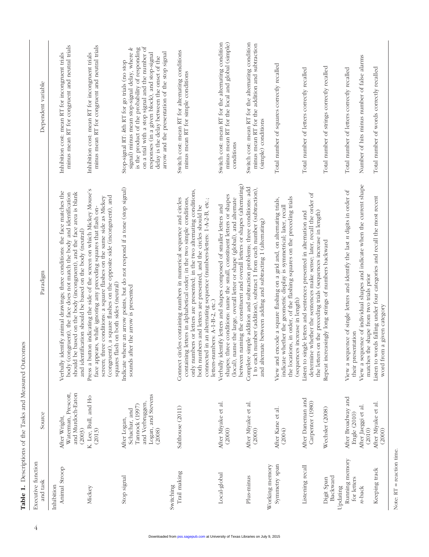| Executive function<br>Animal Stroop<br>and task<br>Inhibition | Source<br>After Wright,                                                                            | Verbally identify animal drawings; three conditions: the face matches the<br>Paradigm                                                                                                                                                                                                                                                                                      | Inhibition cost: mean RT for incongruent trials<br>Dependent variable                                                                                                                                                                                                                                                                                 |
|---------------------------------------------------------------|----------------------------------------------------------------------------------------------------|----------------------------------------------------------------------------------------------------------------------------------------------------------------------------------------------------------------------------------------------------------------------------------------------------------------------------------------------------------------------------|-------------------------------------------------------------------------------------------------------------------------------------------------------------------------------------------------------------------------------------------------------------------------------------------------------------------------------------------------------|
|                                                               | and Murdoch-Eaton<br>Waterman, Prescott,<br>(2003)                                                 | should be based on the body (incongruent), and the face area is blank<br>body (congruent), the face does not match the body and identification<br>and identification should be based on the body (neutral)                                                                                                                                                                 | minus mean RT for congruent and neutral trials                                                                                                                                                                                                                                                                                                        |
| Mickey                                                        | K. Lee, Bull, and Ho<br>(2013)                                                                     | Press a button indicating the side of the screen on which Mickey Mouse's<br>(congruent), a square flashes on the opposite side (incongruent), and<br>three conditions: a square flashes on the same side as Mickey<br>face appears, while ignoring any preceding squares that flash on-<br>squares flash on both sides (neutral)<br>screen;                                | minus mean RT for congruent and neutral trials<br>Inhibition cost: mean RT for incongruent trials                                                                                                                                                                                                                                                     |
| Stop signal                                                   | Logan, and Stevens<br>and Verbruggen,<br>Tannock (1997)<br>Schachar, and<br>After Logan,<br>(2008) | Indicate where an arrow points, but do not respond if a tone (stop signal)<br>sounds after the arrow is presented                                                                                                                                                                                                                                                          | is the product of the probability of responding<br>on a trial with a stop signal and the number of<br>signal) minus mean stop-signal delay, where k<br>arrow and the presentation of the stop signal<br>responses (in a given block), and stop-signal<br>delay is the delay between the onset of the<br>Stop-signal RT: kth RT for go trials (no stop |
| Trail making<br>Switching                                     | Salthouse (2011)                                                                                   | only numbers or letters are presented; in the two alternating conditions,<br>Connect circles containing numbers in numerical sequence and circles<br>containing letters in alphabetical order; in the two simple conditions,<br>connected in an alternating sequence (numbers-letters: 1-A-2-B, etc.;<br>both numbers and letters are presented, and the circles should be | Switch cost: mean RT for alternating conditions<br>minus mean RT for simple conditions                                                                                                                                                                                                                                                                |
| Local-global                                                  | After Miyake et al.<br>(2000)                                                                      | between naming the constituent and overall letters or shapes (alternating)<br>shapes; three conditions: name the small, constituent letters or shapes<br>name the large, overall letter or shape (global), and alternate<br>Verbally identify letters and shapes composed of smaller letters and<br>letters-numbers: A-1-B-2, etc.)<br>(local),                            | minus mean RT for the local and global (simple)<br>Switch cost: mean RT for the alternating condition<br>conditions                                                                                                                                                                                                                                   |
| Plus-minus                                                    | After Miyake et al.<br>(2000)                                                                      | simple addition and subtraction problems; three conditions: add<br>1 to each number (addition), subtract 1 from each number (subtraction),<br>and alternate between adding and subtracting 1 (alternating)<br>Complete                                                                                                                                                     | Switch cost: mean RT for the alternating condition<br>minus mean RT for the addition and subtraction<br>(simple) conditions                                                                                                                                                                                                                           |
| Working memory                                                |                                                                                                    |                                                                                                                                                                                                                                                                                                                                                                            |                                                                                                                                                                                                                                                                                                                                                       |
| Symmetry span                                                 | After Kane et al.<br>(2004)                                                                        | the locations, in order, of the flashing squares on the preceding trials<br>encode a square flashing on a grid and, on alternating trials,<br>whether the geometric display is symmetrical; later, recall<br>(sequences increase in length)<br>View and<br>indicate                                                                                                        | Total number of squares correctly recalled                                                                                                                                                                                                                                                                                                            |
| Listening recall                                              | After Daneman and<br>Carpenter (1980)                                                              | determine whether the sentences make sense; later, recall the order of<br>the letters on the preceding trials (sequences increase in length)<br>single letters and sentences presented in alternation and<br>Listen to                                                                                                                                                     | Total number of letters correctly recalled                                                                                                                                                                                                                                                                                                            |
| Backward<br>Digit Span<br>Updating                            | Wechsler (2008)                                                                                    | Repeat increasingly long strings of numbers backward                                                                                                                                                                                                                                                                                                                       | Total number of strings correctly recalled                                                                                                                                                                                                                                                                                                            |
| Running memory<br>for letters                                 | After Broadway and<br>Engle (2010)                                                                 | View a sequence of single letters and identify the last <i>n</i> digits in order of<br>their presentation                                                                                                                                                                                                                                                                  | Total number of letters correctly recalled                                                                                                                                                                                                                                                                                                            |
| $n$ -back                                                     | After Jaeggi et al<br>(2010)                                                                       | View a sequence of individual shapes and indicate when the current shape<br>matches the shape from two trials prior                                                                                                                                                                                                                                                        | Number of hits minus number of false alarms                                                                                                                                                                                                                                                                                                           |
| Keeping track                                                 | After Miyake et al.<br>(2000)                                                                      | words falling under four categories and recall the most recent<br>word from a given category<br>Listen to                                                                                                                                                                                                                                                                  | Total number of words correctly recalled                                                                                                                                                                                                                                                                                                              |

Note:  $RT = reaction time$ . Note: RT = reaction time.

 $\overline{\phantom{a}}$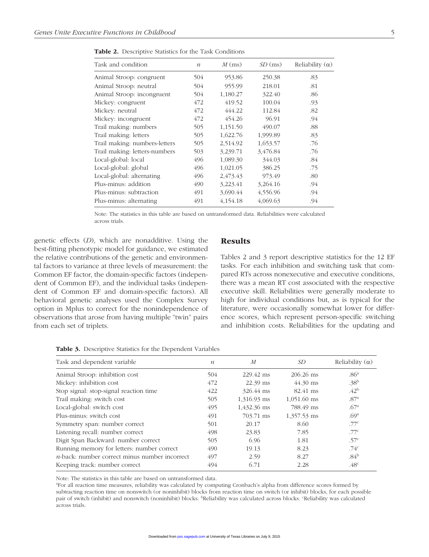| Task and condition            | $\boldsymbol{n}$ | $M$ (ms) | $SD$ (ms) | Reliability $(\alpha)$ |
|-------------------------------|------------------|----------|-----------|------------------------|
| Animal Stroop: congruent      | 504              | 953.86   | 250.38    | .83                    |
| Animal Stroop: neutral        | 504              | 955.99   | 218.01    | .81                    |
| Animal Stroop: incongruent    | 504              | 1,180.27 | 322.40    | .86                    |
| Mickey: congruent             | 472              | 419.52   | 100.04    | .93                    |
| Mickey: neutral               | 472              | 444.22   | 112.84    | .82                    |
| Mickey: incongruent           | 472              | 454.26   | 96.91     | .94                    |
| Trail making: numbers         | 505              | 1,151.50 | 490.07    | .88                    |
| Trail making: letters         | 505              | 1,622.76 | 1,999.89  | .83                    |
| Trail making: numbers-letters | 505              | 2,514.92 | 1,653.57  | .76                    |
| Trail making: letters-numbers | 503              | 3,239.71 | 3,476.84  | .76                    |
| Local-global: local           | 496              | 1,089.30 | 344.03    | .84                    |
| Local-global: global          | 496              | 1,021.05 | 386.25    | .75                    |
| Local-global: alternating     | 496              | 2,473.43 | 973.49    | .80                    |
| Plus-minus: addition          | 490              | 3,223.41 | 3,264.16  | .94                    |
| Plus-minus: subtraction       | 491              | 3,690.44 | 4,556.96  | .94                    |
| Plus-minus: alternating       | 491              | 4,154.18 | 4,069.63  | .94                    |
|                               |                  |          |           |                        |

Table 2. Descriptive Statistics for the Task Conditions

Note: The statistics in this table are based on untransformed data. Reliabilities were calculated across trials.

genetic effects (*D*), which are nonadditive. Using the best-fitting phenotypic model for guidance, we estimated the relative contributions of the genetic and environmental factors to variance at three levels of measurement: the Common EF factor, the domain-specific factors (independent of Common EF), and the individual tasks (independent of Common EF and domain-specific factors). All behavioral genetic analyses used the Complex Survey option in Mplus to correct for the nonindependence of observations that arose from having multiple "twin" pairs from each set of triplets.

## Results

Tables 2 and 3 report descriptive statistics for the 12 EF tasks. For each inhibition and switching task that compared RTs across nonexecutive and executive conditions, there was a mean RT cost associated with the respective executive skill. Reliabilities were generally moderate to high for individual conditions but, as is typical for the literature, were occasionally somewhat lower for difference scores, which represent person-specific switching and inhibition costs. Reliabilities for the updating and

| Task and dependent variable                      | $\boldsymbol{n}$ | М           | SD            | Reliability $(\alpha)$ |
|--------------------------------------------------|------------------|-------------|---------------|------------------------|
| Animal Stroop: inhibition cost                   | 504              | 229.42 ms   | $206.26$ ms   | .86 <sup>a</sup>       |
| Mickey: inhibition cost                          | 472              | 22.39 ms    | $44.30$ ms    | .38 <sup>b</sup>       |
| Stop signal: stop-signal reaction time           | 422              | 326.44 ms   | 82.41 ms      | .42 <sup>b</sup>       |
| Trail making: switch cost                        | 505              | 1,316.93 ms | $1,051.60$ ms | .87 <sup>a</sup>       |
| Local-global: switch cost                        | 495              | 1,432.36 ms | 788.49 ms     | .67 <sup>a</sup>       |
| Plus-minus: switch cost                          | 491              | 703.71 ms   | 1,357.53 ms   | .69 <sup>a</sup>       |
| Symmetry span: number correct                    | 501              | 20.17       | 8.60          | .77 <sup>c</sup>       |
| Listening recall: number correct                 | 498              | 23.83       | 7.85          | .77 <sup>c</sup>       |
| Digit Span Backward: number correct              | 505              | 6.96        | 1.81          | .57 <sup>c</sup>       |
| Running memory for letters: number correct       | 490              | 19.13       | 8.23          | .74 <sup>c</sup>       |
| $n$ -back: number correct minus number incorrect | 497              | 2.59        | 8.27          | .84 <sup>b</sup>       |
| Keeping track: number correct                    | 494              | 6.71        | 2.28          | .48 <sup>c</sup>       |

Table 3. Descriptive Statistics for the Dependent Variables

Note: The statistics in this table are based on untransformed data.

a For all reaction time measures, reliability was calculated by computing Cronbach's alpha from difference scores formed by subtracting reaction time on nonswitch (or noninhibit) blocks from reaction time on switch (or inhibit) blocks, for each possible pair of switch (inhibit) and nonswitch (noninhibit) blocks. <sup>b</sup>Reliability was calculated across blocks. <sup>c</sup>Reliability was calculated across trials.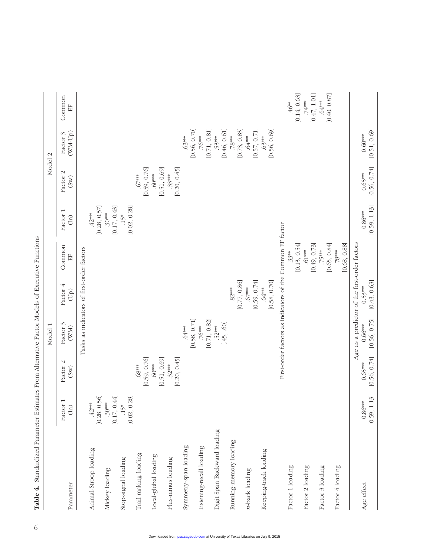| Table 4. Standardized Parameter Estimates From Alternative Factor Models of Executive Functions |                                                                      |                                    |                                            |                                                                            |                          |                           |                                          |                                          |                            |
|-------------------------------------------------------------------------------------------------|----------------------------------------------------------------------|------------------------------------|--------------------------------------------|----------------------------------------------------------------------------|--------------------------|---------------------------|------------------------------------------|------------------------------------------|----------------------------|
|                                                                                                 |                                                                      |                                    | Model 1                                    |                                                                            |                          |                           | Model 2                                  |                                          |                            |
| Parameter                                                                                       | Factor 1<br>$\begin{array}{c} \text{(in)}\\ \text{(in)} \end{array}$ | Factor 2<br>(Sw)                   | Factor 3<br>(WM)                           | Factor 4<br>$\binom{d}{d}$                                                 | Common<br>出              | Factor 1<br>$\widehat{H}$ | Factor 2<br>(Sw)                         | (WM-Up)<br>Factor 3                      | Common<br>臣                |
|                                                                                                 |                                                                      |                                    |                                            | Tasks as indicators of first-order factors                                 |                          |                           |                                          |                                          |                            |
| Animal-Stroop loading                                                                           | [0.28, 0.56]<br>$.42***$                                             |                                    |                                            |                                                                            |                          | [0.28, 0.57]<br>$.42***$  |                                          |                                          |                            |
| Mickey loading                                                                                  | $.30***$                                                             |                                    |                                            |                                                                            |                          | [0.17, 0.43]<br>$.30***$  |                                          |                                          |                            |
| Stop-signal loading                                                                             | $[0.17,\, 0.44]$<br>[0.02, 0.28]<br>$.15*$                           |                                    |                                            |                                                                            |                          | [0.02, 0.28]<br>$.15*$    |                                          |                                          |                            |
| Trail-making loading                                                                            |                                                                      | [0.59, 0.76]<br>$68***$            |                                            |                                                                            |                          |                           | [0.59, 0.76]<br>$67***$                  |                                          |                            |
| Local-global loading                                                                            |                                                                      | [0.51, 0.69]<br>$\mathcal{O}(0)$ . |                                            |                                                                            |                          |                           | $60$ , $60\,$                            |                                          |                            |
| Plus-minus loading                                                                              |                                                                      | [0.20, 0.45]<br>$.32***$           |                                            |                                                                            |                          |                           | [0.51, 0.69]<br>[0.20, 0.45]<br>$.33***$ |                                          |                            |
| Symmetry-span loading                                                                           |                                                                      |                                    | $.64***$                                   |                                                                            |                          |                           |                                          | $.63***$                                 |                            |
| Listening-recall loading                                                                        |                                                                      |                                    | [0.58, 0.71]<br>$76***$                    |                                                                            |                          |                           |                                          | [0.56, 0.70]<br>$\frac{1}{2}$            |                            |
| Digit Span Backward loading                                                                     |                                                                      |                                    | $[0.71,\, 0.82]$<br>[.45, .60]<br>$-52***$ |                                                                            |                          |                           |                                          | [0.71, 0.81]<br>[0.46, 0.61]<br>$.53***$ |                            |
| Running-memory loading                                                                          |                                                                      |                                    |                                            | $.82***$                                                                   |                          |                           |                                          | $-8$                                     |                            |
| $n$ -back loading                                                                               |                                                                      |                                    |                                            | [0.77, 0.86]<br>$67***$                                                    |                          |                           |                                          | [0.73, 0.83]<br>$-64***$                 |                            |
| Keeping-track loading                                                                           |                                                                      |                                    |                                            | $[0.59, 0.74]$<br>[0.58, 0.70]<br>.64***                                   |                          |                           |                                          | [0.57, 0.71]<br>[0.56, 0.69]<br>$.63***$ |                            |
|                                                                                                 |                                                                      |                                    |                                            | First-order factors as indicators of the Common EF factor                  |                          |                           |                                          |                                          |                            |
| Factor 1 loading                                                                                |                                                                      |                                    |                                            |                                                                            | [0.13, 0.54]<br>$.33***$ |                           |                                          |                                          | [0.14, 0.63]<br>$.46***$   |
| Factor 2 loading                                                                                |                                                                      |                                    |                                            |                                                                            | [0.49, 0.73]<br>$61***$  |                           |                                          |                                          | .74***                     |
| Factor 3 loading                                                                                |                                                                      |                                    |                                            |                                                                            | [0.65, 0.84]<br>$.75***$ |                           |                                          |                                          | $[0.47, 1.01]$<br>$.64***$ |
| Factor 4 loading                                                                                |                                                                      |                                    |                                            |                                                                            | [0.68, 0.88]<br>$.78***$ |                           |                                          |                                          | [0.40, 0.87]               |
| Age effect                                                                                      | [0.59, 1.13]<br>$0.86***$                                            | [ $0.56, 0.74$ ]<br>$0.65***$      | [0.56, 0.75]<br>$0.66***$                  | Age as a predictor of the first-order factors<br>[0.43, 0.63]<br>$0.53***$ |                          | [0.59, 1.13]<br>$0.86***$ | $[0.56, 0.74]$<br>$0.65***$              | [0.51, 0.69]<br>$0.60***$                |                            |

| l                        |
|--------------------------|
|                          |
| $\overline{\phantom{a}}$ |
| $\overline{a}$           |
| ļ                        |
|                          |
|                          |
|                          |
|                          |
|                          |
| l                        |
|                          |
|                          |
| l                        |
| l                        |
| l                        |
|                          |
| j                        |
| l<br>í                   |
| l<br>l                   |
|                          |
|                          |
|                          |
|                          |
| l<br>í                   |
|                          |
|                          |
| ļ<br>l                   |
| l<br>j<br>l              |
| I<br>i                   |
|                          |
|                          |
|                          |
|                          |
|                          |
| l<br>ׇ֚֘֝֬               |
|                          |
| l                        |
| í                        |
|                          |
|                          |
| ļ                        |
|                          |
|                          |
|                          |
|                          |
|                          |
| l                        |
| I<br>١                   |
|                          |
| l                        |
| ۱                        |
| l<br>ı                   |
| ì<br>֓֕֡<br>l            |
| ֕                        |
|                          |
|                          |
| ŗ<br>(<br>J              |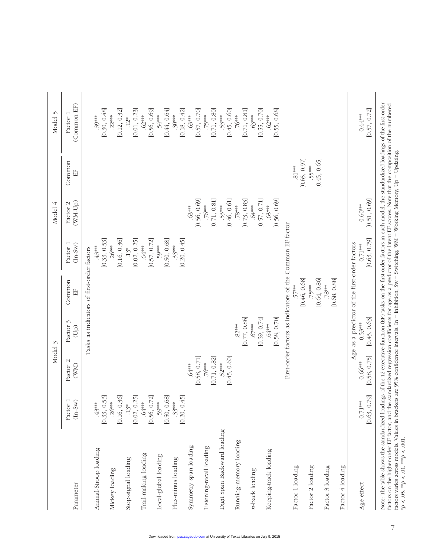|                                                                                                                                                                                                                                                                                                                                                                                                                                                                                                                        |                                       | Model 3                   |                           |                                                                      |                                       | Model 4                   |                                       | Model 5                               |
|------------------------------------------------------------------------------------------------------------------------------------------------------------------------------------------------------------------------------------------------------------------------------------------------------------------------------------------------------------------------------------------------------------------------------------------------------------------------------------------------------------------------|---------------------------------------|---------------------------|---------------------------|----------------------------------------------------------------------|---------------------------------------|---------------------------|---------------------------------------|---------------------------------------|
| Parameter                                                                                                                                                                                                                                                                                                                                                                                                                                                                                                              | Factor 1<br>$(In-Sw)$                 | Factor 2<br>(MM)          | Factor 3<br>(1p)          | Common<br>띥                                                          | Factor 1<br>$(In-Sw)$                 | $(WM-Up)$<br>Factor 2     | Common<br>出                           | (Common EF)<br>Factor 1               |
| Animal-Stroop loading<br>Mickey loading                                                                                                                                                                                                                                                                                                                                                                                                                                                                                | [0.33, 0.53]<br>$.26***$<br>$.43***$  |                           |                           | Tasks as indicators of first-order factors                           | [0.33, 0.53]<br>$.26***$<br>$43***$   |                           |                                       | [0.30, 0.48]<br>$.22***$<br>$.39***$  |
| Stop-signal loading                                                                                                                                                                                                                                                                                                                                                                                                                                                                                                    | [0.16, 0.36]<br>$13*$                 |                           |                           |                                                                      | [0.16, 0.36]<br>$.13*$                |                           |                                       | [0.12, 0.32]<br>$.12*$                |
| Trail-making loading                                                                                                                                                                                                                                                                                                                                                                                                                                                                                                   | [0.02, 0.25]<br>$64***$               |                           |                           |                                                                      | [0.02, 0.25]<br>$64***$               |                           |                                       | [0.01, 0.23]<br>$.62***$              |
| Local-global loading                                                                                                                                                                                                                                                                                                                                                                                                                                                                                                   | [0.50, 0.68]<br>[0.56, 0.72]<br>59*** |                           |                           |                                                                      | [0.50, 0.68]<br>[0.57, 0.72]<br>59*** |                           |                                       | [0.44, 0.64]<br>[0.56, 0.69]<br>54*** |
| Plus-minus loading                                                                                                                                                                                                                                                                                                                                                                                                                                                                                                     | , 0.45<br>$33***$<br>[0.20]           |                           |                           |                                                                      | [0.20, 0.45]<br>$.33***$              |                           |                                       | [0.18, 0.42]<br>$30***$               |
| Symmetry-span loading                                                                                                                                                                                                                                                                                                                                                                                                                                                                                                  |                                       | [0.58, 0.71]<br>$.64***$  |                           |                                                                      |                                       | [0.56, 0.69]<br>$.63***$  |                                       | [0.57, 0.70]<br>$.63***$              |
| Listening-recall loading                                                                                                                                                                                                                                                                                                                                                                                                                                                                                               |                                       | [0.71, 0.82]<br>$76***$   |                           |                                                                      |                                       | [0.71, 0.81]<br>$76***$   |                                       | [0.71, 0.80]<br>.75***                |
| Digit Span Backward loading                                                                                                                                                                                                                                                                                                                                                                                                                                                                                            |                                       | [0.45, 0.60]<br>$.52***$  |                           |                                                                      |                                       | [0.46, 0.61]<br>$-53***$  |                                       | [0.45, 0.60]<br>$.53***$              |
| Running-memory loading                                                                                                                                                                                                                                                                                                                                                                                                                                                                                                 |                                       |                           | [0.77, 0.86]<br>$.82***$  |                                                                      |                                       | [0.73, 0.83]<br>$78***$   |                                       | [0.71, 0.81]<br>$76***$               |
| $n$ -back loading                                                                                                                                                                                                                                                                                                                                                                                                                                                                                                      |                                       |                           | [0.59, 0.74]<br>$67***$   |                                                                      |                                       | [0.57, 0.71]<br>$64***$   |                                       | [0.55, 0.70]<br>$.63***$              |
| Keeping-track loading                                                                                                                                                                                                                                                                                                                                                                                                                                                                                                  |                                       |                           | [0.58, 0.70]<br>$64***$   |                                                                      |                                       | [0.56, 0.69]<br>$63***$   |                                       | [0.55, 0.68]<br>$.62***$              |
| Factor 1 loading                                                                                                                                                                                                                                                                                                                                                                                                                                                                                                       |                                       |                           |                           | First-order factors as indicators of the Common EF factor<br>$57***$ |                                       |                           | $81^{\mathrm{max}}$                   |                                       |
| Factor 2 loading                                                                                                                                                                                                                                                                                                                                                                                                                                                                                                       |                                       |                           |                           | [0.64, 0.86]<br>[0.46, 0.68]<br>.75***                               |                                       |                           | [0.45, 0.65]<br>[0.65, 0.97]<br>55*** |                                       |
| Factor 3 loading                                                                                                                                                                                                                                                                                                                                                                                                                                                                                                       |                                       |                           |                           | [0.68, 0.88]<br>.78***                                               |                                       |                           |                                       |                                       |
| Factor 4 loading                                                                                                                                                                                                                                                                                                                                                                                                                                                                                                       |                                       |                           |                           |                                                                      |                                       |                           |                                       |                                       |
| Age effect                                                                                                                                                                                                                                                                                                                                                                                                                                                                                                             | [0.63, 0.79]<br>$0.71***$             | [0.58, 0.75]<br>$0.66***$ | [0.43, 0.63]<br>$0.53***$ | Age as a predictor of the first-order factors                        | [0.63, 0.79]<br>$0.71***$             | [0.51, 0.69]<br>$0.60***$ |                                       | [0.57, 0.72]<br>$0.64***$             |
| Note: The table shows the standardized loadings of the 12 executive-function (EF) tasks on the first-order factors in each model, the standardized loadings of the first-order<br>factors on the higher-order EF factor, and the standardized regression coefficients for age as a predictor of the latent EF scores. Note that the composition of the numbered<br>factors varies across models. Values in brackets are 95% confidence intervals. In = Inhibition; Sw = Switching; WM = Working Memory; Up = Updating; |                                       |                           |                           |                                                                      |                                       |                           |                                       |                                       |

factors varies across models. Values in brackets are 95% confidence intervals. In = Inhibition; Sw = Switching; WM = Working Memory; Up = Updating.  $^{11}$ y, UP  $\frac{1}{2}$ STITNE È. уа<br>Т  $\frac{4}{3}p < 0.05$ .  $\frac{4}{3}p < 0.01$ .  $\frac{4}{3}p < 0.001$ . \**p* < .05. \*\**p* < .01. \*\*\**p* < .001.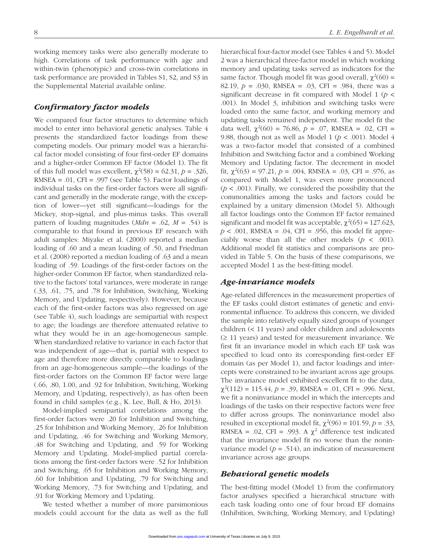working memory tasks were also generally moderate to high. Correlations of task performance with age and within-twin (phenotypic) and cross-twin correlations in task performance are provided in Tables S1, S2, and S3 in the Supplemental Material available online.

## *Confirmatory factor models*

We compared four factor structures to determine which model to enter into behavioral genetic analyses. Table 4 presents the standardized factor loadings from these competing models. Our primary model was a hierarchical factor model consisting of four first-order EF domains and a higher-order Common EF factor (Model 1). The fit of this full model was excellent,  $\chi^2(58) = 62.31$ ,  $p = .326$ , RMSEA =  $.01$ , CFI =  $.997$  (see Table 5). Factor loadings of individual tasks on the first-order factors were all significant and generally in the moderate range, with the exception of lower—yet still significant—loadings for the Mickey, stop-signal, and plus-minus tasks. This overall pattern of loading magnitudes (*Mdn* = .62, *M* = .54) is comparable to that found in previous EF research with adult samples: Miyake et al. (2000) reported a median loading of .60 and a mean loading of .50, and Friedman et al. (2008) reported a median loading of .63 and a mean loading of .59. Loadings of the first-order factors on the higher-order Common EF factor, when standardized relative to the factors' total variances, were moderate in range (.33, .61, .75, and .78 for Inhibition, Switching, Working Memory, and Updating, respectively). However, because each of the first-order factors was also regressed on age (see Table 4), such loadings are semipartial with respect to age; the loadings are therefore attenuated relative to what they would be in an age-homogeneous sample. When standardized relative to variance in each factor that was independent of age—that is, partial with respect to age and therefore more directly comparable to loadings from an age-homogeneous sample—the loadings of the first-order factors on the Common EF factor were large (.66, .80, 1.00, and .92 for Inhibition, Switching, Working Memory, and Updating, respectively), as has often been found in child samples (e.g., K. Lee, Bull, & Ho, 2013).

Model-implied semipartial correlations among the first-order factors were .20 for Inhibition and Switching, .25 for Inhibition and Working Memory, .26 for Inhibition and Updating, .46 for Switching and Working Memory, .48 for Switching and Updating, and .59 for Working Memory and Updating. Model-implied partial correlations among the first-order factors were .52 for Inhibition and Switching, .65 for Inhibition and Working Memory, .60 for Inhibition and Updating, .79 for Switching and Working Memory, .73 for Switching and Updating, and .91 for Working Memory and Updating.

We tested whether a number of more parsimonious models could account for the data as well as the full hierarchical four-factor model (see Tables 4 and 5). Model 2 was a hierarchical three-factor model in which working memory and updating tasks served as indicators for the same factor. Though model fit was good overall,  $\chi^2(60) =$ 82.19,  $p = .030$ , RMSEA =  $.03$ , CFI =  $.984$ , there was a significant decrease in fit compared with Model 1 (*p* < .001). In Model 3, inhibition and switching tasks were loaded onto the same factor, and working memory and updating tasks remained independent. The model fit the data well,  $\chi^2(60) = 76.86$ ,  $p = .07$ , RMSEA = .02, CFI = 9.88, though not as well as Model 1 ( $p < .001$ ). Model 4 was a two-factor model that consisted of a combined Inhibition and Switching factor and a combined Working Memory and Updating factor. The decrement in model fit,  $\chi^2(63) = 97.21$ ,  $p = .004$ , RMSEA = .03, CFI = .976, as compared with Model 1, was even more pronounced  $(p < .001)$ . Finally, we considered the possibility that the commonalities among the tasks and factors could be explained by a unitary dimension (Model 5). Although all factor loadings onto the Common EF factor remained significant and model fit was acceptable,  $\chi^2(65) = 127.623$ ,  $p < .001$ , RMSEA =  $.04$ , CFI =  $.956$ , this model fit appreciably worse than all the other models  $(p < .001)$ . Additional model fit statistics and comparisons are provided in Table 5. On the basis of these comparisons, we accepted Model 1 as the best-fitting model.

## *Age-invariance models*

Age-related differences in the measurement properties of the EF tasks could distort estimates of genetic and environmental influence. To address this concern, we divided the sample into relatively equally sized groups of younger children (< 11 years) and older children and adolescents  $(≥ 11$  years) and tested for measurement invariance. We first fit an invariance model in which each EF task was specified to load onto its corresponding first-order EF domain (as per Model 1), and factor loadings and intercepts were constrained to be invariant across age groups. The invariance model exhibited excellent fit to the data,  $\chi^2(112) = 115.44$ ,  $p = .39$ , RMSEA = .01, CFI = .996. Next, we fit a noninvariance model in which the intercepts and loadings of the tasks on their respective factors were free to differ across groups. The noninvariance model also resulted in exceptional model fit,  $\chi^2(96) = 101.59$ ,  $p = .33$ , RMSEA = .02, CFI = .993. A  $\chi^2$  difference test indicated that the invariance model fit no worse than the noninvariance model ( $p = .514$ ), an indication of measurement invariance across age groups.

## *Behavioral genetic models*

The best-fitting model (Model 1) from the confirmatory factor analyses specified a hierarchical structure with each task loading onto one of four broad EF domains (Inhibition, Switching, Working Memory, and Updating)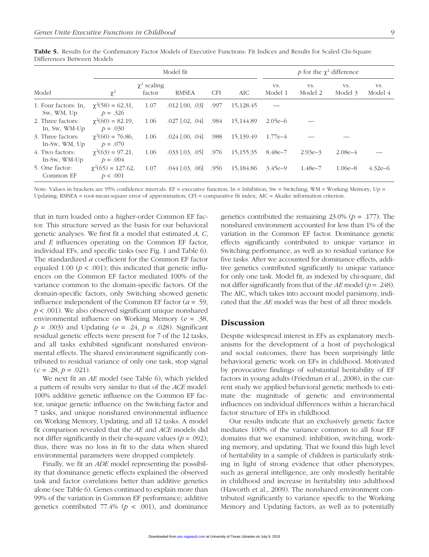|                                    |                                        |                            | Model fit           |            |           |                | p for the $\chi^2$ difference |                |                |
|------------------------------------|----------------------------------------|----------------------------|---------------------|------------|-----------|----------------|-------------------------------|----------------|----------------|
| Model                              | $\chi^2$                               | $\chi^2$ scaling<br>factor | <b>RMSEA</b>        | <b>CFI</b> | AIC       | VS.<br>Model 1 | VS.<br>Model 2                | VS.<br>Model 3 | VS.<br>Model 4 |
| 1. Four factors: In,<br>Sw, WM, Up | $\chi^2(58) = 62.31,$<br>$p = .326$    | 1.07                       | $.012$ $[.00, .03]$ | .997       | 15,128.45 |                |                               |                |                |
| 2. Three factors:<br>In, Sw, WM-Up | $\gamma^2(60) = 82.19$ ,<br>$p = .030$ | 1.06                       | $.027$ $[.02, .04]$ | .984       | 15,144.89 | $2.05e-6$      |                               |                |                |
| 3. Three factors:<br>In-Sw, WM, Up | $\gamma^2(60) = 76.86$ ,<br>$p = .070$ | 1.06                       | $.024$ $[.00, .04]$ | .988       | 15,139.49 | $1.77e-4$      |                               |                |                |
| 4. Two factors:<br>In-Sw, WM-Up    | $\gamma^2(63) = 97.21$<br>$p = .004$   | 1.06                       | $.033$ $[.03, .05]$ | .976       | 15,155.35 | 8.48e-7        | $2.93e-3$                     | $2.08e-4$      |                |
| 5. One factor:<br>Common EF        | $\chi^2(65) = 127.62$ ,<br>p < .001    | 1.07                       | $.044$ $[.03, .06]$ | .956       | 15,184.86 | $3.45e-9$      | $1.48e - 7$                   | $1.06e - 8$    | $4.32e-6$      |

Table 5. Results for the Confirmatory Factor Models of Executive Functions: Fit Indices and Results for Scaled Chi-Square Differences Between Models

Note: Values in brackets are 95% confidence intervals. EF = executive function; In = Inhibition; Sw = Switching; WM = Working Memory; Up = Updating; RMSEA = root-mean-square error of approximation; CFI = comparative fit index; AIC = Akaike information criterion.

that in turn loaded onto a higher-order Common EF factor. This structure served as the basis for our behavioral genetic analyses. We first fit a model that estimated *A, C*, and *E* influences operating on the Common EF factor, individual EFs, and specific tasks (see Fig. 1 and Table 6). The standardized *a* coefficient for the Common EF factor equaled 1.00 ( $p < .001$ ); this indicated that genetic influences on the Common EF factor mediated 100% of the variance common to the domain-specific factors. Of the domain-specific factors, only Switching showed genetic influence independent of the Common EF factor (*a* = .59, *p* < .001). We also observed significant unique nonshared environmental influence on Working Memory (*e* = .38, *p* = .003) and Updating (*e* = .24, *p* = .028). Significant residual genetic effects were present for 7 of the 12 tasks, and all tasks exhibited significant nonshared environmental effects. The shared environment significantly contributed to residual variance of only one task, stop signal  $(c = .28, p = .021).$ 

We next fit an *AE* model (see Table 6), which yielded a pattern of results very similar to that of the *ACE* model: 100% additive genetic influence on the Common EF factor, unique genetic influence on the Switching factor and 7 tasks, and unique nonshared environmental influence on Working Memory, Updating, and all 12 tasks. A model fit comparison revealed that the *AE* and *ACE* models did not differ significantly in their chi-square values  $(p = .092)$ ; thus, there was no loss in fit to the data when shared environmental parameters were dropped completely.

Finally, we fit an *ADE* model representing the possibility that dominance genetic effects explained the observed task and factor correlations better than additive genetics alone (see Table 6). Genes continued to explain more than 99% of the variation in Common EF performance; additive genetics contributed  $77.4\%$  ( $p < .001$ ), and dominance genetics contributed the remaining 23.0% (*p* = .177). The nonshared environment accounted for less than 1% of the variation in the Common EF factor. Dominance genetic effects significantly contributed to unique variance in Switching performance, as well as to residual variance for five tasks. After we accounted for dominance effects, additive genetics contributed significantly to unique variance for only one task. Model fit, as indexed by chi-square, did not differ significantly from that of the *AE* model (*p* = .248). The AIC, which takes into account model parsimony, indicated that the *AE* model was the best of all three models.

## **Discussion**

Despite widespread interest in EFs as explanatory mechanisms for the development of a host of psychological and social outcomes, there has been surprisingly little behavioral genetic work on EFs in childhood. Motivated by provocative findings of substantial heritability of EF factors in young adults (Friedman et al., 2008), in the current study we applied behavioral genetic methods to estimate the magnitude of genetic and environmental influences on individual differences within a hierarchical factor structure of EFs in childhood.

Our results indicate that an exclusively genetic factor mediates 100% of the variance common to all four EF domains that we examined: inhibition, switching, working memory, and updating. That we found this high level of heritability in a sample of children is particularly striking in light of strong evidence that other phenotypes, such as general intelligence, are only modestly heritable in childhood and increase in heritability into adulthood (Haworth et al., 2009). The nonshared environment contributed significantly to variance specific to the Working Memory and Updating factors, as well as to potentially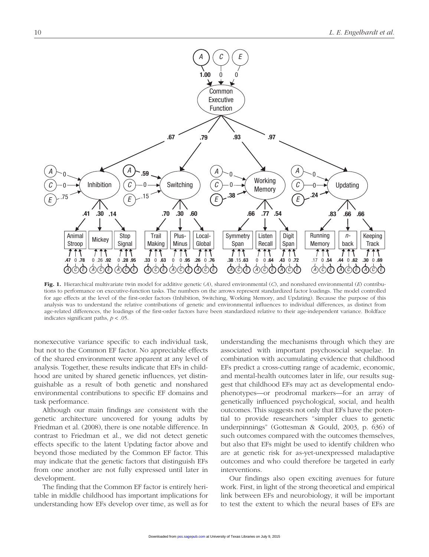

Fig. 1. Hierarchical multivariate twin model for additive genetic (*A*), shared environmental (*C*), and nonshared environmental (*E*) contributions to performance on executive-function tasks. The numbers on the arrows represent standardized factor loadings. The model controlled for age effects at the level of the first-order factors (Inhibition, Switching, Working Memory, and Updating). Because the purpose of this analysis was to understand the relative contributions of genetic and environmental influences to individual differences, as distinct from age-related differences, the loadings of the first-order factors have been standardized relative to their age-independent variance. Boldface indicates significant paths, *p* < .05.

nonexecutive variance specific to each individual task, but not to the Common EF factor. No appreciable effects of the shared environment were apparent at any level of analysis. Together, these results indicate that EFs in childhood are united by shared genetic influences, yet distinguishable as a result of both genetic and nonshared environmental contributions to specific EF domains and task performance.

Although our main findings are consistent with the genetic architecture uncovered for young adults by Friedman et al. (2008), there is one notable difference. In contrast to Friedman et al., we did not detect genetic effects specific to the latent Updating factor above and beyond those mediated by the Common EF factor. This may indicate that the genetic factors that distinguish EFs from one another are not fully expressed until later in development.

The finding that the Common EF factor is entirely heritable in middle childhood has important implications for understanding how EFs develop over time, as well as for understanding the mechanisms through which they are associated with important psychosocial sequelae. In combination with accumulating evidence that childhood EFs predict a cross-cutting range of academic, economic, and mental-health outcomes later in life, our results suggest that childhood EFs may act as developmental endophenotypes—or prodromal markers—for an array of genetically influenced psychological, social, and health outcomes. This suggests not only that EFs have the potential to provide researchers "simpler clues to genetic underpinnings" (Gottesman & Gould, 2003, p. 636) of such outcomes compared with the outcomes themselves, but also that EFs might be used to identify children who are at genetic risk for as-yet-unexpressed maladaptive outcomes and who could therefore be targeted in early interventions.

Our findings also open exciting avenues for future work. First, in light of the strong theoretical and empirical link between EFs and neurobiology, it will be important to test the extent to which the neural bases of EFs are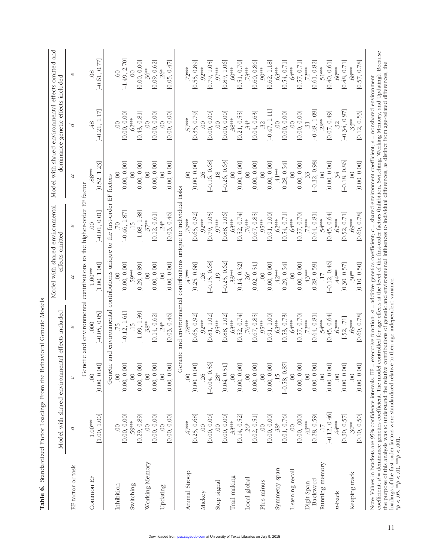|                                                                                                                                                                                                                                                                                                                                                                                                                                                                              |                              | Model with shared environmental effects included |                                                  |                                     | Model with shared environmental<br>effects omitted                                       |                                                | Model with shared environmental effects omitted and<br>dominance genetic effects included                                                                                                                                                                      |                                                   |
|------------------------------------------------------------------------------------------------------------------------------------------------------------------------------------------------------------------------------------------------------------------------------------------------------------------------------------------------------------------------------------------------------------------------------------------------------------------------------|------------------------------|--------------------------------------------------|--------------------------------------------------|-------------------------------------|------------------------------------------------------------------------------------------|------------------------------------------------|----------------------------------------------------------------------------------------------------------------------------------------------------------------------------------------------------------------------------------------------------------------|---------------------------------------------------|
| EF factor or task                                                                                                                                                                                                                                                                                                                                                                                                                                                            |                              |                                                  | Φ                                                | a                                   | $\mathcal O$                                                                             | a                                              | Þ                                                                                                                                                                                                                                                              | c                                                 |
| Common EF                                                                                                                                                                                                                                                                                                                                                                                                                                                                    | [1.00, 1.00]<br>$1.00***$    | [0.00, 0.00]<br>$\ddot{\circ}$                   | $[-0.05, 0.05]$<br>$000$ .                       | [1.00, 1.00]<br>$1.00***$           | Genetic and environmental contributions to the higher-order EF factor<br>$[-0.01, 0.01]$ | [0.52, 1.23]<br>88***                          | $[-0.21, 1.17]$                                                                                                                                                                                                                                                | $[-0.61, 0.77]$                                   |
| Inhibition                                                                                                                                                                                                                                                                                                                                                                                                                                                                   |                              | Geneti                                           |                                                  |                                     | c and environmental contributions unique to the first-order EF factors                   |                                                | $\odot$                                                                                                                                                                                                                                                        | $\odot$                                           |
| Switching                                                                                                                                                                                                                                                                                                                                                                                                                                                                    | [0.00, 0.00]<br>59***        | [0.00, 0.00]<br>[0.00, 0.00]<br>$\approx$        | $[-0.12, 1.61]$<br>$[-1.09, 1.39]$<br>$\ddot{1}$ | [0.00, 0.00]<br>.59***              | $[-0.46, 1.87]$<br>$[-1.08, 1.38]$                                                       | [0.00, 0.00]<br>$\approx$                      | [0.00, 0.00]<br>[0.43, 0.81]<br>$.62***$                                                                                                                                                                                                                       | $[-1.49, 2.70]$<br>[0.00, 0.00]<br>$\overline{0}$ |
| Working Memory                                                                                                                                                                                                                                                                                                                                                                                                                                                               | [0.00, 0.00]<br>[0.29, 0.89] | [0.00, 0.00]                                     | $.38***$                                         | [0.29, 0.89]                        | $.37***$                                                                                 | [0.00, 0.00]                                   | $\ddot{\circ}$                                                                                                                                                                                                                                                 | $.36***$                                          |
| Updating                                                                                                                                                                                                                                                                                                                                                                                                                                                                     | [0.00, 0.00]                 | [0.00, 0.00]<br>$\odot$                          | [0.14, 0.62]<br>[0.03, 0.46]<br>$24*$            | [0.00, 0.00]<br>[0.00, 0.00]        | [0.12, 0.61]<br>[0.03, 0.46]<br>$.24*$                                                   | [0.00, 0.00]<br>[0.00, 0.00]<br>$\overline{0}$ | [0.00, 0.00]<br>[0.00, 0.00]<br>$\odot$                                                                                                                                                                                                                        | [0.09, 0.62]<br>[0.05, 0.47]<br>$.26*$            |
|                                                                                                                                                                                                                                                                                                                                                                                                                                                                              |                              |                                                  | Genetic and environmental                        |                                     | contributions unique to individual tasks                                                 |                                                |                                                                                                                                                                                                                                                                |                                                   |
| Animal Stroop                                                                                                                                                                                                                                                                                                                                                                                                                                                                | [0.25, 0.68]<br>$47***$      | [0.00, 0.00]<br>$\odot$                          | [0.65, 0.92]<br>$.78***$                         | [0.25, 0.68]<br>47***               | [0.65, 0.92]<br>70***                                                                    | [0.00, 0.00]<br>$\odot$                        | [0.35, 0.79]<br>57***                                                                                                                                                                                                                                          | [0.55, 0.89]<br>.72***                            |
| Mickey                                                                                                                                                                                                                                                                                                                                                                                                                                                                       | [0.00, 0.00]                 | $-0.04, 0.56$                                    | [0.81, 1.02]<br>.92***                           | $[-0.15, 0.68]$                     | [0.79, 1.05]<br>.92***                                                                   | $[-0.16, 0.68]$                                | [0.00, 0.00]                                                                                                                                                                                                                                                   | [0.79, 1.05]<br>$.92***$                          |
| Stop signal                                                                                                                                                                                                                                                                                                                                                                                                                                                                  | [0.00, 0.00]                 | [0.04, 0.51]<br>$.28*$                           | [0.88, 1.02]<br>.95***                           | $[-0.25, 0.62]$<br>$\overline{.19}$ | [0.88, 1.06]<br>.97***                                                                   | $[-0.26, 0.63]$<br>$\frac{18}{1}$              | [0.00, 0.00]<br>$\odot$                                                                                                                                                                                                                                        | [0.89, 1.06]<br>5.5                               |
| Trail making                                                                                                                                                                                                                                                                                                                                                                                                                                                                 | [0.14, 0.52]<br>$.33***$     | [0.00, 0.00]                                     | [0.52, 0.74]<br>$.63***$                         | [0.14, 0.52]<br>$33***$             | [0.52, 0.74]<br>$.63***$                                                                 | [0.00, 0.00]<br>S                              | [0.21, 0.55]<br>$.38***$                                                                                                                                                                                                                                       | [0.51, 0.70]<br>$60***$                           |
| Local-global                                                                                                                                                                                                                                                                                                                                                                                                                                                                 | $.26*$<br>[0.02, 0.51]       | [0.00, 0.00]                                     | [0.67, 0.85]<br>$76***$                          | [0.02, 0.51]<br>$26*$               | [0.67, 0.85]<br>$76***$                                                                  | [0.00, 0.00]<br>$\odot$                        | [0.04, 0.63]<br>$.34*$                                                                                                                                                                                                                                         | [0.60, 0.86]<br>$.73***$                          |
| Plus-minus                                                                                                                                                                                                                                                                                                                                                                                                                                                                   | [0.00, 0.00]                 | $[0.00, 0.00]$<br>$[0.00, 0.00]$<br>$0.5$        | [0.91, 1.00]<br>.95***                           | [0.00, 0.00]<br>$\overline{0}$      | [0.91, 1.00]<br>.95***                                                                   | [0.00, 0.00]<br>$\odot$                        | $[-0.47, 1.11]$                                                                                                                                                                                                                                                | [0.62, 1.18]<br><b>900000</b>                     |
| Symmetry span                                                                                                                                                                                                                                                                                                                                                                                                                                                                | $[0.01,\, 0.76]$             | $[-0.58, 0.87]$                                  | [0.53, 0.73]<br>$63***$                          | [0.29, 0.54]<br>$.42***$            | [0.54, 0.71]<br>$.62***$                                                                 | [0.28, 0.54]<br>$41^{\ast\ast\ast}$            | [0.00, 0.00]                                                                                                                                                                                                                                                   | [0.54, 0.71]<br>$.63***$                          |
| Listening recall                                                                                                                                                                                                                                                                                                                                                                                                                                                             | [0.00, .000]                 | [0.00, 0.00]<br>$\circ$                          | [0.57, 0.70]<br>$.64***$                         | [0.00, 0.00]                        | [0.57, 0.70]<br>$.64***$                                                                 | [0.00, 0.00]                                   | [0.00, 0.00]                                                                                                                                                                                                                                                   | [0.57, 0.71]<br>$64***$                           |
| Backward<br>Digit Span                                                                                                                                                                                                                                                                                                                                                                                                                                                       | [0.28, 0.59]<br>$43***$      | [0.00, 0.00]<br>$\overline{0}$                   | [0.64, 0.81]<br>$72***$                          | [0.28, 0.59]<br>$43***$             | [0.64, 0.81]<br>$.72***$                                                                 | $[-0.32, 0.98]$                                | $[-0.48, 1.09]$                                                                                                                                                                                                                                                | [0.61, 0.82]<br>$.72***$                          |
| Running memory                                                                                                                                                                                                                                                                                                                                                                                                                                                               | $[-0.12, 0.46]$              | [0.00, 0.00]<br>$\odot$                          | [0.45, 0.64]<br>$-54***$                         | $[-0.12, 0.46]$                     | [0.45, 0.64]<br>$-54***$                                                                 | [0.00, 0.00]<br>$\odot$                        | [0.07, 0.49]<br>$.28**$                                                                                                                                                                                                                                        | [0.40, 0.61]<br>$-51***$                          |
| $n$ -back                                                                                                                                                                                                                                                                                                                                                                                                                                                                    | [0.30, 0.57]<br>44***        | [0.00, 0.00]                                     | [.52, .71]<br>$.62***$                           | [0.30, 0.57]<br>$44***$             | [0.52, 0.71]<br>$.62***$                                                                 | $[-0.18, 0.86]$                                | $[-0.34, 0.97]$                                                                                                                                                                                                                                                | [0.48, 0.71]<br>$60**$                            |
| Keeping track                                                                                                                                                                                                                                                                                                                                                                                                                                                                | $[0.10, 0.50]$<br>$.30***$   | [0.00, 0.00]<br>$\odot$                          | [0.60, 0.78]<br>$-69***$                         | [0.10, 0.50]<br>$.30**$             | [0.60, 0.78]<br>$.69***$                                                                 | [0.00, 0.00]<br>$\odot$                        | [0.12, 0.53]<br>$33***$                                                                                                                                                                                                                                        | [0.57, 0.78]<br>$88$ $\pm 8$                      |
| coefficient; $d =$ dominance genetics coefficient. The model controlled for age effects at the level of the first-order factors (Inhibition, Switching, Working Memory, and Updating). Because<br>loadings of the first-order factors were standardized relative to their age-independent variances $\psi_{\rho} < 0.9$ , $\psi_{\rho} < 0.01$ .<br>the purpose of this analysis was to understand the relative<br>Note: Values in brackets are 95% confidence intervals. EF |                              |                                                  |                                                  |                                     |                                                                                          |                                                | contributions of genetic and environmental influences to individual differences, as distinct from age-related differences, the<br>= executive function; $a =$ additive genetics coefficient; $c =$ shared environment coefficient; $e =$ nonshared environment |                                                   |

Table 6. Standardized Factor Loadings From the Behavioral Genetic Models Table 6. Standardized Factor Loadings From the Behavioral Genetic Models

11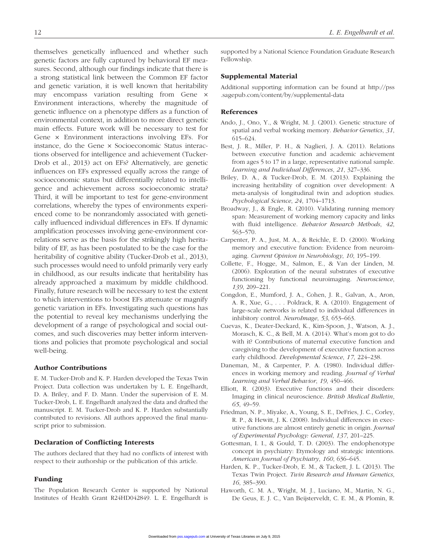themselves genetically influenced and whether such genetic factors are fully captured by behavioral EF measures. Second, although our findings indicate that there is a strong statistical link between the Common EF factor and genetic variation, it is well known that heritability may encompass variation resulting from Gene × Environment interactions, whereby the magnitude of genetic influence on a phenotype differs as a function of environmental context, in addition to more direct genetic main effects. Future work will be necessary to test for Gene × Environment interactions involving EFs. For instance, do the Gene × Socioeconomic Status interactions observed for intelligence and achievement (Tucker-Drob et al., 2013) act on EFs? Alternatively, are genetic influences on EFs expressed equally across the range of socioeconomic status but differentially related to intelligence and achievement across socioeconomic strata? Third, it will be important to test for gene-environment correlations, whereby the types of environments experienced come to be nonrandomly associated with genetically influenced individual differences in EFs. If dynamic amplification processes involving gene-environment correlations serve as the basis for the strikingly high heritability of EF, as has been postulated to be the case for the heritability of cognitive ability (Tucker-Drob et al., 2013), such processes would need to unfold primarily very early in childhood, as our results indicate that heritability has already approached a maximum by middle childhood. Finally, future research will be necessary to test the extent to which interventions to boost EFs attenuate or magnify genetic variation in EFs. Investigating such questions has the potential to reveal key mechanisms underlying the development of a range of psychological and social outcomes, and such discoveries may better inform interventions and policies that promote psychological and social well-being.

#### Author Contributions

E. M. Tucker-Drob and K. P. Harden developed the Texas Twin Project. Data collection was undertaken by L. E. Engelhardt, D. A. Briley, and F. D. Mann. Under the supervision of E. M. Tucker-Drob, L. E. Engelhardt analyzed the data and drafted the manuscript. E. M. Tucker-Drob and K. P. Harden substantially contributed to revisions. All authors approved the final manuscript prior to submission.

## Declaration of Conflicting Interests

The authors declared that they had no conflicts of interest with respect to their authorship or the publication of this article.

#### Funding

The Population Research Center is supported by National Institutes of Health Grant R24HD042849. L. E. Engelhardt is supported by a National Science Foundation Graduate Research Fellowship.

#### Supplemental Material

Additional supporting information can be found at [http://pss](http://pss.sagepub.com/content/by/supplemental-data) [.sagepub.com/content/by/supplemental-data](http://pss.sagepub.com/content/by/supplemental-data)

#### References

- Ando, J., Ono, Y., & Wright, M. J. (2001). Genetic structure of spatial and verbal working memory. *Behavior Genetics*, *31*, 615–624.
- Best, J. R., Miller, P. H., & Naglieri, J. A. (2011). Relations between executive function and academic achievement from ages 5 to 17 in a large, representative national sample. *Learning and Individual Differences*, *21*, 327–336.
- Briley, D. A., & Tucker-Drob, E. M. (2013). Explaining the increasing heritability of cognition over development: A meta-analysis of longitudinal twin and adoption studies. *Psychological Science*, *24*, 1704–1713.
- Broadway, J., & Engle, R. (2010). Validating running memory span: Measurement of working memory capacity and links with fluid intelligence. *Behavior Research Methods*, *42*, 563–570.
- Carpenter, P. A., Just, M. A., & Reichle, E. D. (2000). Working memory and executive function: Evidence from neuroimaging. *Current Opinion in Neurobiology*, *10*, 195–199.
- Collette, F., Hogge, M., Salmon, E., & Van der Linden, M. (2006). Exploration of the neural substrates of executive functioning by functional neuroimaging. *Neuroscience*, *139*, 209–221.
- Congdon, E., Mumford, J. A., Cohen, J. R., Galvan, A., Aron, A. R., Xue, G., . . . Poldrack, R. A. (2010). Engagement of large-scale networks is related to individual differences in inhibitory control. *NeuroImage*, *53*, 653–663.
- Cuevas, K., Deater-Deckard, K., Kim-Spoon, J., Watson, A. J., Morasch, K. C., & Bell, M. A. (2014). What's mom got to do with it? Contributions of maternal executive function and caregiving to the development of executive function across early childhood. *Developmental Science*, *17*, 224–238.
- Daneman, M., & Carpenter, P. A. (1980). Individual differences in working memory and reading. *Journal of Verbal Learning and Verbal Behavior*, *19*, 450–466.
- Elliott, R. (2003). Executive functions and their disorders: Imaging in clinical neuroscience. *British Medical Bulletin*, *65*, 49–59.
- Friedman, N. P., Miyake, A., Young, S. E., DeFries, J. C., Corley, R. P., & Hewitt, J. K. (2008). Individual differences in executive functions are almost entirely genetic in origin. *Journal of Experimental Psychology: General*, *137*, 201–225.
- Gottesman, I. I., & Gould, T. D. (2003). The endophenotype concept in psychiatry: Etymology and strategic intentions. *American Journal of Psychiatry*, *160*, 636–645.
- Harden, K. P., Tucker-Drob, E. M., & Tackett, J. L. (2013). The Texas Twin Project. *Twin Research and Human Genetics*, *16*, 385–390.
- Haworth, C. M. A., Wright, M. J., Luciano, M., Martin, N. G., De Geus, E. J. C., Van Beijsterveldt, C. E. M., & Plomin, R.